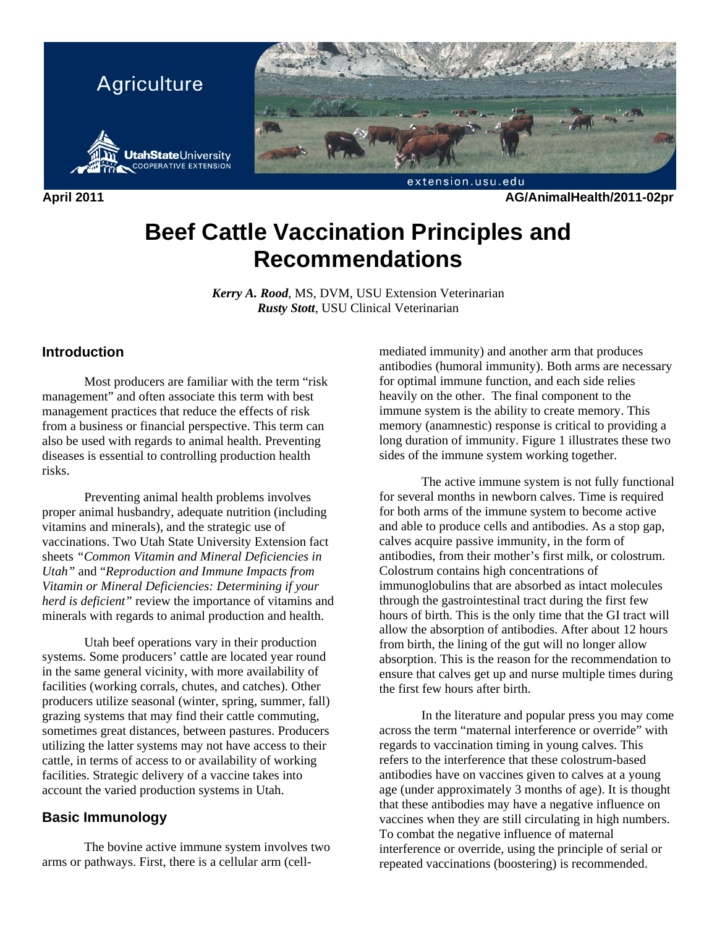

**April 2011 AG/AnimalHealth/2011-02pr** 

# **Beef Cattle Vaccination Principles and Recommendations**

*Kerry A. Rood*, MS, DVM, USU Extension Veterinarian *Rusty Stott*, USU Clinical Veterinarian

# **Introduction**

 Most producers are familiar with the term "risk management" and often associate this term with best management practices that reduce the effects of risk from a business or financial perspective. This term can also be used with regards to animal health. Preventing diseases is essential to controlling production health risks.

 Preventing animal health problems involves proper animal husbandry, adequate nutrition (including vitamins and minerals), and the strategic use of vaccinations. Two Utah State University Extension fact sheets *"Common Vitamin and Mineral Deficiencies in Utah"* and "*Reproduction and Immune Impacts from Vitamin or Mineral Deficiencies: Determining if your herd is deficient"* review the importance of vitamins and minerals with regards to animal production and health.

 Utah beef operations vary in their production systems. Some producers' cattle are located year round in the same general vicinity, with more availability of facilities (working corrals, chutes, and catches). Other producers utilize seasonal (winter, spring, summer, fall) grazing systems that may find their cattle commuting, sometimes great distances, between pastures. Producers utilizing the latter systems may not have access to their cattle, in terms of access to or availability of working facilities. Strategic delivery of a vaccine takes into account the varied production systems in Utah.

# **Basic Immunology**

 The bovine active immune system involves two arms or pathways. First, there is a cellular arm (cellmediated immunity) and another arm that produces antibodies (humoral immunity). Both arms are necessary for optimal immune function, and each side relies heavily on the other. The final component to the immune system is the ability to create memory. This memory (anamnestic) response is critical to providing a long duration of immunity. Figure 1 illustrates these two sides of the immune system working together.

 The active immune system is not fully functional for several months in newborn calves. Time is required for both arms of the immune system to become active and able to produce cells and antibodies. As a stop gap, calves acquire passive immunity, in the form of antibodies, from their mother's first milk, or colostrum. Colostrum contains high concentrations of immunoglobulins that are absorbed as intact molecules through the gastrointestinal tract during the first few hours of birth. This is the only time that the GI tract will allow the absorption of antibodies. After about 12 hours from birth, the lining of the gut will no longer allow absorption. This is the reason for the recommendation to ensure that calves get up and nurse multiple times during the first few hours after birth.

 In the literature and popular press you may come across the term "maternal interference or override" with regards to vaccination timing in young calves. This refers to the interference that these colostrum-based antibodies have on vaccines given to calves at a young age (under approximately 3 months of age). It is thought that these antibodies may have a negative influence on vaccines when they are still circulating in high numbers. To combat the negative influence of maternal interference or override, using the principle of serial or repeated vaccinations (boostering) is recommended.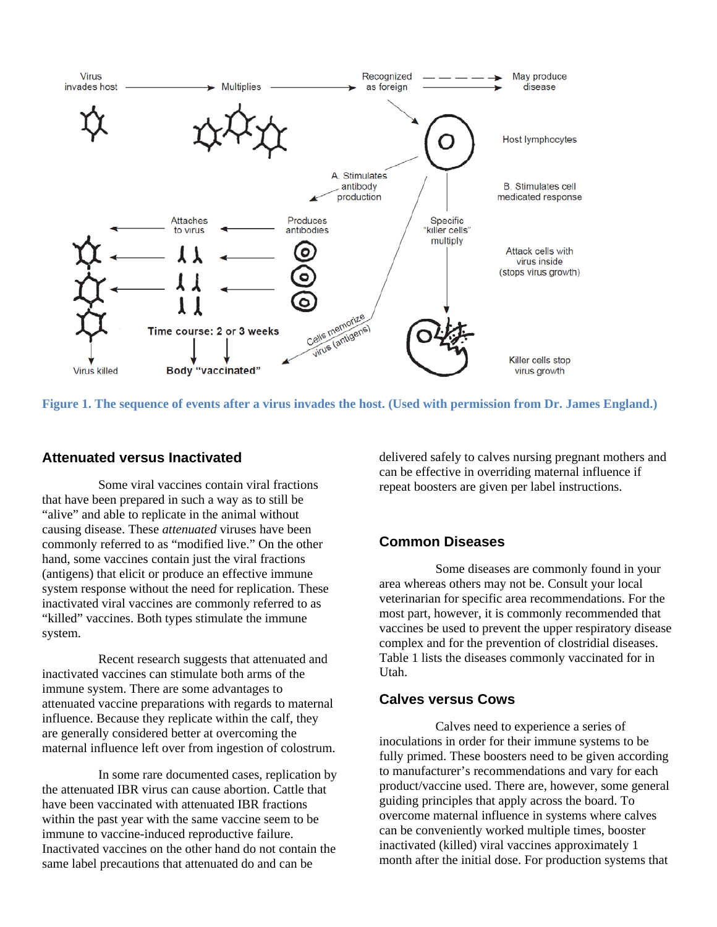

**Figure 1. The sequence of events after a virus invades the host. (Used with permission from Dr. James England.)** 

## **Attenuated versus Inactivated**

 Some viral vaccines contain viral fractions that have been prepared in such a way as to still be "alive" and able to replicate in the animal without causing disease. These *attenuated* viruses have been commonly referred to as "modified live." On the other hand, some vaccines contain just the viral fractions (antigens) that elicit or produce an effective immune system response without the need for replication. These inactivated viral vaccines are commonly referred to as "killed" vaccines. Both types stimulate the immune system.

 Recent research suggests that attenuated and inactivated vaccines can stimulate both arms of the immune system. There are some advantages to attenuated vaccine preparations with regards to maternal influence. Because they replicate within the calf, they are generally considered better at overcoming the maternal influence left over from ingestion of colostrum.

 In some rare documented cases, replication by the attenuated IBR virus can cause abortion. Cattle that have been vaccinated with attenuated IBR fractions within the past year with the same vaccine seem to be immune to vaccine-induced reproductive failure. Inactivated vaccines on the other hand do not contain the same label precautions that attenuated do and can be

delivered safely to calves nursing pregnant mothers and can be effective in overriding maternal influence if repeat boosters are given per label instructions.

# **Common Diseases**

 Some diseases are commonly found in your area whereas others may not be. Consult your local veterinarian for specific area recommendations. For the most part, however, it is commonly recommended that vaccines be used to prevent the upper respiratory disease complex and for the prevention of clostridial diseases. Table 1 lists the diseases commonly vaccinated for in Utah.

#### **Calves versus Cows**

 Calves need to experience a series of inoculations in order for their immune systems to be fully primed. These boosters need to be given according to manufacturer's recommendations and vary for each product/vaccine used. There are, however, some general guiding principles that apply across the board. To overcome maternal influence in systems where calves can be conveniently worked multiple times, booster inactivated (killed) viral vaccines approximately 1 month after the initial dose. For production systems that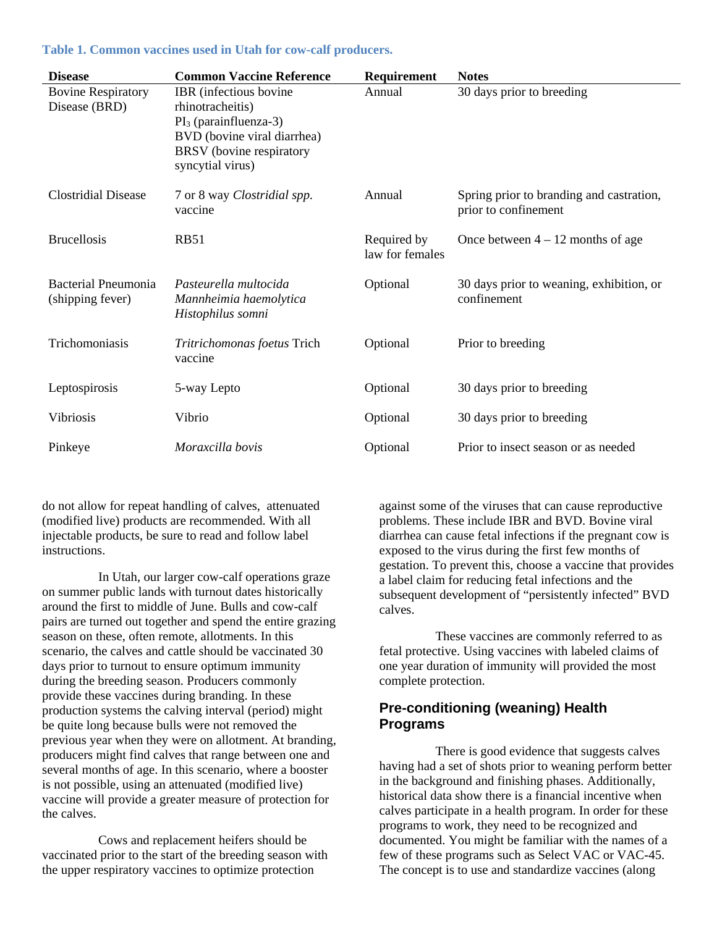#### **Table 1. Common vaccines used in Utah for cow-calf producers.**

| <b>Disease</b>                                 | <b>Common Vaccine Reference</b>                                                                                                                       | Requirement                    | <b>Notes</b>                                                     |
|------------------------------------------------|-------------------------------------------------------------------------------------------------------------------------------------------------------|--------------------------------|------------------------------------------------------------------|
| <b>Bovine Respiratory</b><br>Disease (BRD)     | IBR (infectious bovine<br>rhinotracheitis)<br>$PI_3$ (parainfluenza-3)<br>BVD (bovine viral diarrhea)<br>BRSV (bovine respiratory<br>syncytial virus) | Annual                         | 30 days prior to breeding                                        |
| <b>Clostridial Disease</b>                     | 7 or 8 way <i>Clostridial spp</i> .<br>vaccine                                                                                                        | Annual                         | Spring prior to branding and castration,<br>prior to confinement |
| <b>Brucellosis</b>                             | <b>RB51</b>                                                                                                                                           | Required by<br>law for females | Once between $4 - 12$ months of age                              |
| <b>Bacterial Pneumonia</b><br>(shipping fever) | Pasteurella multocida<br>Mannheimia haemolytica<br>Histophilus somni                                                                                  | Optional                       | 30 days prior to weaning, exhibition, or<br>confinement          |
| Trichomoniasis                                 | Tritrichomonas foetus Trich<br>vaccine                                                                                                                | Optional                       | Prior to breeding                                                |
| Leptospirosis                                  | 5-way Lepto                                                                                                                                           | Optional                       | 30 days prior to breeding                                        |
| Vibriosis                                      | Vibrio                                                                                                                                                | Optional                       | 30 days prior to breeding                                        |
| Pinkeye                                        | Moraxcilla bovis                                                                                                                                      | Optional                       | Prior to insect season or as needed                              |

do not allow for repeat handling of calves, attenuated (modified live) products are recommended. With all injectable products, be sure to read and follow label instructions.

 In Utah, our larger cow-calf operations graze on summer public lands with turnout dates historically around the first to middle of June. Bulls and cow-calf pairs are turned out together and spend the entire grazing season on these, often remote, allotments. In this scenario, the calves and cattle should be vaccinated 30 days prior to turnout to ensure optimum immunity during the breeding season. Producers commonly provide these vaccines during branding. In these production systems the calving interval (period) might be quite long because bulls were not removed the previous year when they were on allotment. At branding, producers might find calves that range between one and several months of age. In this scenario, where a booster is not possible, using an attenuated (modified live) vaccine will provide a greater measure of protection for the calves.

 Cows and replacement heifers should be vaccinated prior to the start of the breeding season with the upper respiratory vaccines to optimize protection

against some of the viruses that can cause reproductive problems. These include IBR and BVD. Bovine viral diarrhea can cause fetal infections if the pregnant cow is exposed to the virus during the first few months of gestation. To prevent this, choose a vaccine that provides a label claim for reducing fetal infections and the subsequent development of "persistently infected" BVD calves.

 These vaccines are commonly referred to as fetal protective. Using vaccines with labeled claims of one year duration of immunity will provided the most complete protection.

# **Pre-conditioning (weaning) Health Programs**

 There is good evidence that suggests calves having had a set of shots prior to weaning perform better in the background and finishing phases. Additionally, historical data show there is a financial incentive when calves participate in a health program. In order for these programs to work, they need to be recognized and documented. You might be familiar with the names of a few of these programs such as Select VAC or VAC-45. The concept is to use and standardize vaccines (along